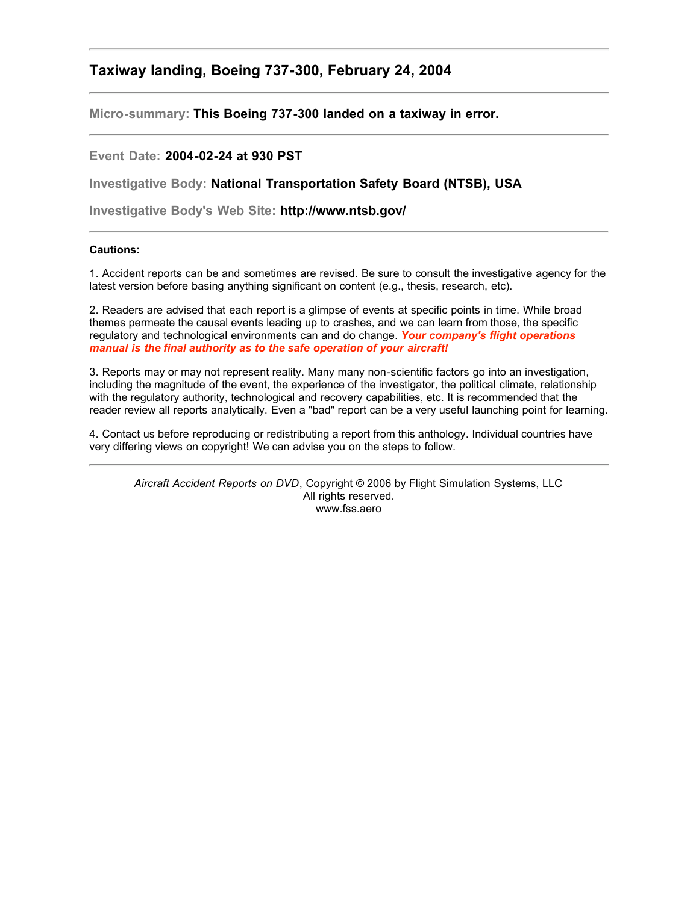## **Taxiway landing, Boeing 737-300, February 24, 2004**

**Micro-summary: This Boeing 737-300 landed on a taxiway in error.**

## **Event Date: 2004-02-24 at 930 PST**

**Investigative Body: National Transportation Safety Board (NTSB), USA**

**Investigative Body's Web Site: http://www.ntsb.gov/**

## **Cautions:**

1. Accident reports can be and sometimes are revised. Be sure to consult the investigative agency for the latest version before basing anything significant on content (e.g., thesis, research, etc).

2. Readers are advised that each report is a glimpse of events at specific points in time. While broad themes permeate the causal events leading up to crashes, and we can learn from those, the specific regulatory and technological environments can and do change. *Your company's flight operations manual is the final authority as to the safe operation of your aircraft!*

3. Reports may or may not represent reality. Many many non-scientific factors go into an investigation, including the magnitude of the event, the experience of the investigator, the political climate, relationship with the regulatory authority, technological and recovery capabilities, etc. It is recommended that the reader review all reports analytically. Even a "bad" report can be a very useful launching point for learning.

4. Contact us before reproducing or redistributing a report from this anthology. Individual countries have very differing views on copyright! We can advise you on the steps to follow.

*Aircraft Accident Reports on DVD*, Copyright © 2006 by Flight Simulation Systems, LLC All rights reserved. www.fss.aero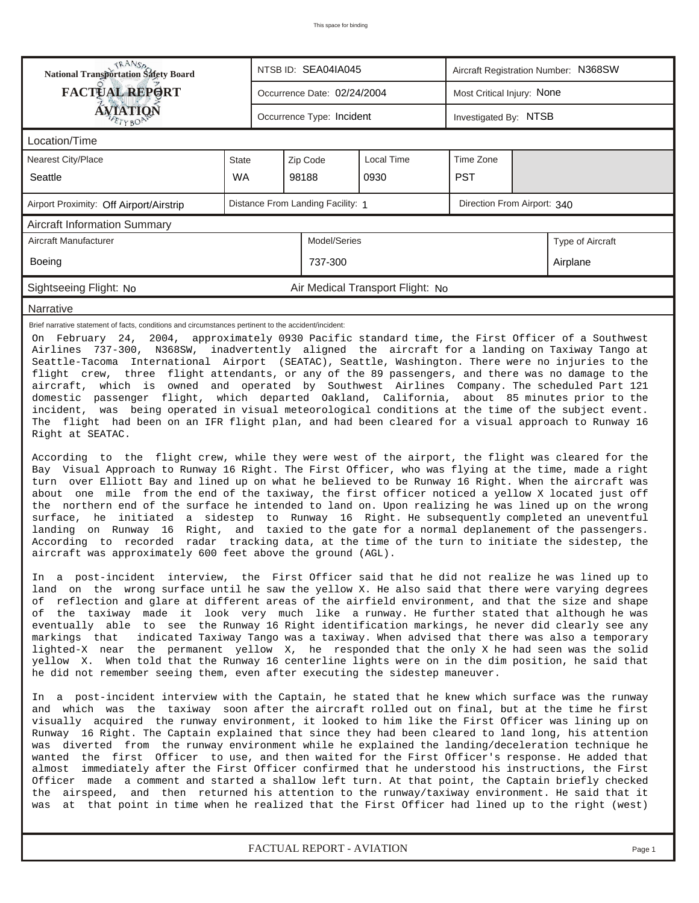| <b>TRANSA</b><br>National Transportation Safety Board                                                                                                                                                                                                                                                                                                                                                                                                                                                                                                                                                                                                                                                                                                                                                                                                                                                                                                                                                                                                                                                                                                                                                                                                                                                                                                                                                                                                                                                                                                                        |              |                                                                  | NTSB ID: SEA04IA045         |                                  | Aircraft Registration Number: N368SW |  |                  |  |  |  |  |
|------------------------------------------------------------------------------------------------------------------------------------------------------------------------------------------------------------------------------------------------------------------------------------------------------------------------------------------------------------------------------------------------------------------------------------------------------------------------------------------------------------------------------------------------------------------------------------------------------------------------------------------------------------------------------------------------------------------------------------------------------------------------------------------------------------------------------------------------------------------------------------------------------------------------------------------------------------------------------------------------------------------------------------------------------------------------------------------------------------------------------------------------------------------------------------------------------------------------------------------------------------------------------------------------------------------------------------------------------------------------------------------------------------------------------------------------------------------------------------------------------------------------------------------------------------------------------|--------------|------------------------------------------------------------------|-----------------------------|----------------------------------|--------------------------------------|--|------------------|--|--|--|--|
| <b>FACTUAL REPORT</b>                                                                                                                                                                                                                                                                                                                                                                                                                                                                                                                                                                                                                                                                                                                                                                                                                                                                                                                                                                                                                                                                                                                                                                                                                                                                                                                                                                                                                                                                                                                                                        |              |                                                                  | Occurrence Date: 02/24/2004 |                                  | Most Critical Injury: None           |  |                  |  |  |  |  |
| ÁVIATION                                                                                                                                                                                                                                                                                                                                                                                                                                                                                                                                                                                                                                                                                                                                                                                                                                                                                                                                                                                                                                                                                                                                                                                                                                                                                                                                                                                                                                                                                                                                                                     |              |                                                                  | Occurrence Type: Incident   |                                  | Investigated By: NTSB                |  |                  |  |  |  |  |
| Location/Time                                                                                                                                                                                                                                                                                                                                                                                                                                                                                                                                                                                                                                                                                                                                                                                                                                                                                                                                                                                                                                                                                                                                                                                                                                                                                                                                                                                                                                                                                                                                                                |              |                                                                  |                             |                                  |                                      |  |                  |  |  |  |  |
| Nearest City/Place                                                                                                                                                                                                                                                                                                                                                                                                                                                                                                                                                                                                                                                                                                                                                                                                                                                                                                                                                                                                                                                                                                                                                                                                                                                                                                                                                                                                                                                                                                                                                           | <b>State</b> |                                                                  | Zip Code                    | Local Time                       | Time Zone                            |  |                  |  |  |  |  |
| Seattle                                                                                                                                                                                                                                                                                                                                                                                                                                                                                                                                                                                                                                                                                                                                                                                                                                                                                                                                                                                                                                                                                                                                                                                                                                                                                                                                                                                                                                                                                                                                                                      | <b>WA</b>    |                                                                  | 98188                       | 0930                             | <b>PST</b>                           |  |                  |  |  |  |  |
| Airport Proximity: Off Airport/Airstrip                                                                                                                                                                                                                                                                                                                                                                                                                                                                                                                                                                                                                                                                                                                                                                                                                                                                                                                                                                                                                                                                                                                                                                                                                                                                                                                                                                                                                                                                                                                                      |              | Distance From Landing Facility: 1<br>Direction From Airport: 340 |                             |                                  |                                      |  |                  |  |  |  |  |
| <b>Aircraft Information Summary</b>                                                                                                                                                                                                                                                                                                                                                                                                                                                                                                                                                                                                                                                                                                                                                                                                                                                                                                                                                                                                                                                                                                                                                                                                                                                                                                                                                                                                                                                                                                                                          |              |                                                                  |                             |                                  |                                      |  |                  |  |  |  |  |
| Aircraft Manufacturer                                                                                                                                                                                                                                                                                                                                                                                                                                                                                                                                                                                                                                                                                                                                                                                                                                                                                                                                                                                                                                                                                                                                                                                                                                                                                                                                                                                                                                                                                                                                                        |              |                                                                  | Model/Series                |                                  |                                      |  | Type of Aircraft |  |  |  |  |
| <b>Boeing</b>                                                                                                                                                                                                                                                                                                                                                                                                                                                                                                                                                                                                                                                                                                                                                                                                                                                                                                                                                                                                                                                                                                                                                                                                                                                                                                                                                                                                                                                                                                                                                                |              |                                                                  | 737-300                     |                                  |                                      |  | Airplane         |  |  |  |  |
| Sightseeing Flight: No                                                                                                                                                                                                                                                                                                                                                                                                                                                                                                                                                                                                                                                                                                                                                                                                                                                                                                                                                                                                                                                                                                                                                                                                                                                                                                                                                                                                                                                                                                                                                       |              |                                                                  |                             | Air Medical Transport Flight: No |                                      |  |                  |  |  |  |  |
| Narrative                                                                                                                                                                                                                                                                                                                                                                                                                                                                                                                                                                                                                                                                                                                                                                                                                                                                                                                                                                                                                                                                                                                                                                                                                                                                                                                                                                                                                                                                                                                                                                    |              |                                                                  |                             |                                  |                                      |  |                  |  |  |  |  |
| Airlines 737-300, N368SW, inadvertently aligned the aircraft for a landing on Taxiway Tango at<br>Seattle-Tacoma International Airport (SEATAC), Seattle, Washington. There were no injuries to the<br>flight crew, three flight attendants, or any of the 89 passengers, and there was no damage to the<br>aircraft, which is owned and operated by Southwest Airlines Company. The scheduled Part 121<br>domestic passenger flight, which departed Oakland, California, about 85 minutes prior to the<br>incident, was being operated in visual meteorological conditions at the time of the subject event.<br>The flight had been on an IFR flight plan, and had been cleared for a visual approach to Runway 16<br>Right at SEATAC.<br>According to the flight crew, while they were west of the airport, the flight was cleared for the<br>Bay Visual Approach to Runway 16 Right. The First Officer, who was flying at the time, made a right<br>turn over Elliott Bay and lined up on what he believed to be Runway 16 Right. When the aircraft was<br>about one mile from the end of the taxiway, the first officer noticed a yellow X located just off<br>the northern end of the surface he intended to land on. Upon realizing he was lined up on the wrong<br>surface, he initiated a sidestep to Runway 16 Right. He subsequently completed an uneventful<br>landing on Runway 16 Right, and taxied to the gate for a normal deplanement of the passengers.<br>According to recorded radar tracking data, at the time of the turn to initiate the sidestep, the |              |                                                                  |                             |                                  |                                      |  |                  |  |  |  |  |
| In a post-incident interview, the First Officer said that he did not realize he was lined up to<br>land on the wrong surface until he saw the yellow X. He also said that there were varying degrees<br>of reflection and glare at different areas of the airfield environment, and that the size and shape<br>of the taxiway made it look very much like a runway. He further stated that although he was<br>eventually able to see the Runway 16 Right identification markings, he never did clearly see any<br>markings that<br>indicated Taxiway Tango was a taxiway. When advised that there was also a temporary<br>lighted-X near the permanent yellow X, he responded that the only X he had seen was the solid<br>yellow X. When told that the Runway 16 centerline lights were on in the dim position, he said that<br>he did not remember seeing them, even after executing the sidestep maneuver.<br>In a post-incident interview with the Captain, he stated that he knew which surface was the runway<br>and which was the taxiway soon after the aircraft rolled out on final, but at the time he first<br>visually acquired the runway environment, it looked to him like the First Officer was lining up on                                                                                                                                                                                                                                                                                                                                                 |              |                                                                  |                             |                                  |                                      |  |                  |  |  |  |  |
| Runway 16 Right. The Captain explained that since they had been cleared to land long, his attention<br>was diverted from the runway environment while he explained the landing/deceleration technique he<br>wanted the first Officer to use, and then waited for the First Officer's response. He added that<br>almost immediately after the First Officer confirmed that he understood his instructions, the First<br>Officer made a comment and started a shallow left turn. At that point, the Captain briefly checked<br>the airspeed, and then returned his attention to the runway/taxiway environment. He said that it<br>at that point in time when he realized that the First Officer had lined up to the right (west)<br>was                                                                                                                                                                                                                                                                                                                                                                                                                                                                                                                                                                                                                                                                                                                                                                                                                                       |              |                                                                  |                             |                                  |                                      |  |                  |  |  |  |  |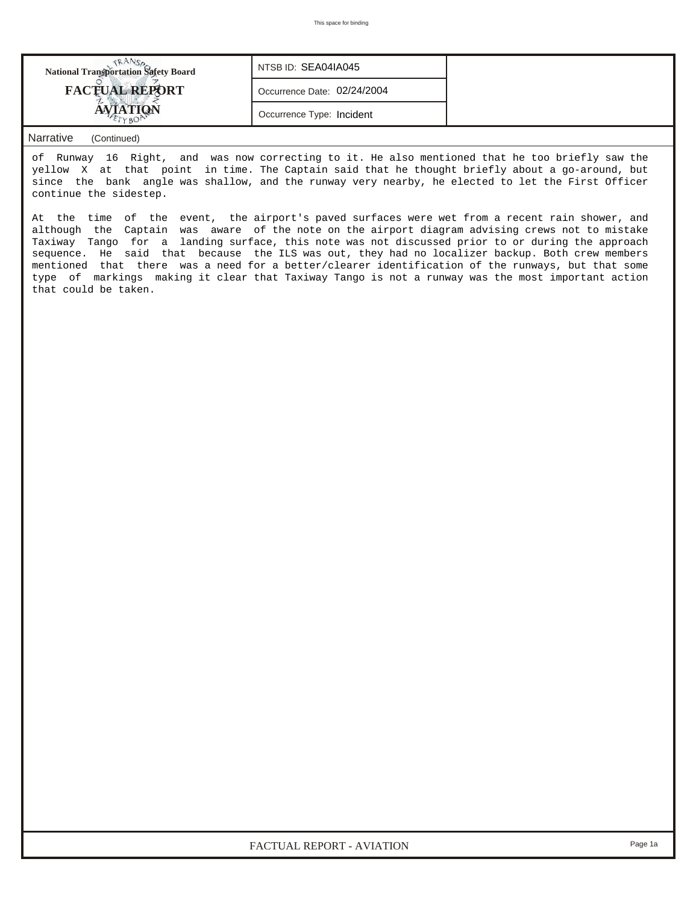| <b>National Transportation Safety Board</b> | NTSB ID: SEA04IA045         |  |
|---------------------------------------------|-----------------------------|--|
| <b>FACTUAL REPORT</b>                       | Occurrence Date: 02/24/2004 |  |
|                                             | Occurrence Type: Incident   |  |
|                                             |                             |  |

## *Narrative (Continued)*

of Runway 16 Right, and was now correcting to it. He also mentioned that he too briefly saw the yellow X at that point in time. The Captain said that he thought briefly about a go-around, but since the bank angle was shallow, and the runway very nearby, he elected to let the First Officer continue the sidestep.

At the time of the event, the airport's paved surfaces were wet from a recent rain shower, and although the Captain was aware of the note on the airport diagram advising crews not to mistake Taxiway Tango for a landing surface, this note was not discussed prior to or during the approach sequence. He said that because the ILS was out, they had no localizer backup. Both crew members mentioned that there was a need for a better/clearer identification of the runways, but that some type of markings making it clear that Taxiway Tango is not a runway was the most important action that could be taken.

*FACTUAL REPORT - AVIATION Page 1a*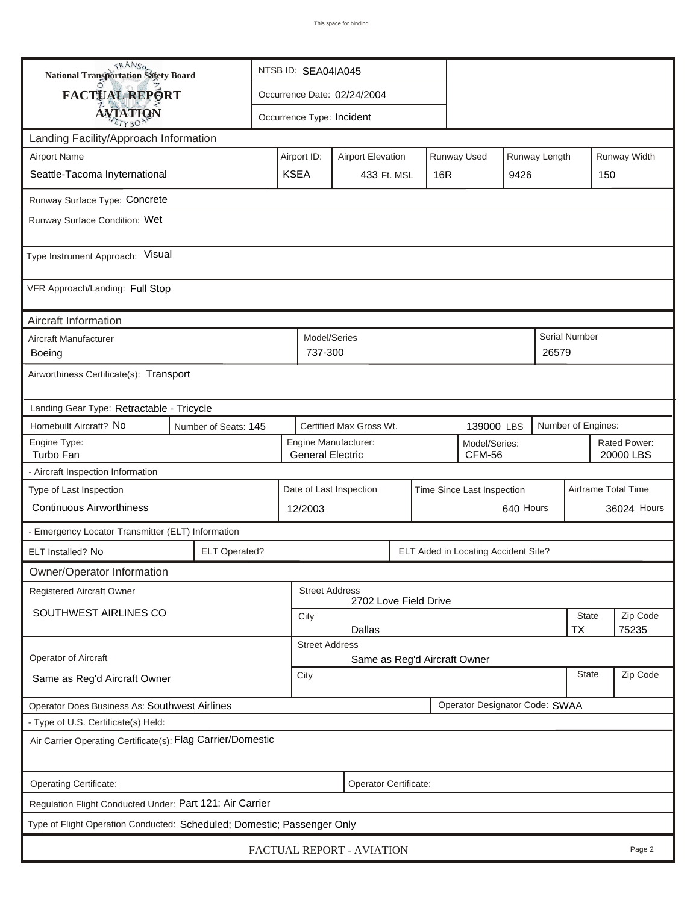| <b>National Transportation Safety Board</b>                 |                                                                            | NTSB ID: SEA04IA045                                          |                                                       |                              |      |                                                                         |                                      |                           |              |                      |                     |  |
|-------------------------------------------------------------|----------------------------------------------------------------------------|--------------------------------------------------------------|-------------------------------------------------------|------------------------------|------|-------------------------------------------------------------------------|--------------------------------------|---------------------------|--------------|----------------------|---------------------|--|
| FACTUAL REPORT                                              |                                                                            | Occurrence Date: 02/24/2004                                  |                                                       |                              |      |                                                                         |                                      |                           |              |                      |                     |  |
| <b>AVIATION</b>                                             |                                                                            |                                                              | Occurrence Type: Incident                             |                              |      |                                                                         |                                      |                           |              |                      |                     |  |
| Landing Facility/Approach Information                       |                                                                            |                                                              |                                                       |                              |      |                                                                         |                                      |                           |              |                      |                     |  |
| <b>Airport Name</b>                                         |                                                                            |                                                              |                                                       |                              |      | Runway Used<br>Runway Length<br>Airport ID:<br><b>Airport Elevation</b> |                                      |                           |              |                      |                     |  |
| Seattle-Tacoma Inyternational                               | <b>KSEA</b>                                                                | 16R<br>433 Ft. MSL                                           |                                                       |                              | 9426 |                                                                         | 150                                  |                           |              |                      |                     |  |
| Runway Surface Type: Concrete                               |                                                                            |                                                              |                                                       |                              |      |                                                                         |                                      |                           |              |                      |                     |  |
| Runway Surface Condition: Wet                               |                                                                            |                                                              |                                                       |                              |      |                                                                         |                                      |                           |              |                      |                     |  |
| Type Instrument Approach: Visual                            |                                                                            |                                                              |                                                       |                              |      |                                                                         |                                      |                           |              |                      |                     |  |
| VFR Approach/Landing: Full Stop                             |                                                                            |                                                              |                                                       |                              |      |                                                                         |                                      |                           |              |                      |                     |  |
| Aircraft Information                                        |                                                                            |                                                              |                                                       |                              |      |                                                                         |                                      |                           |              |                      |                     |  |
| Aircraft Manufacturer<br>Boeing                             |                                                                            |                                                              | Model/Series<br>737-300                               |                              |      |                                                                         |                                      |                           | 26579        | <b>Serial Number</b> |                     |  |
| Airworthiness Certificate(s): Transport                     |                                                                            |                                                              |                                                       |                              |      |                                                                         |                                      |                           |              |                      |                     |  |
| Landing Gear Type: Retractable - Tricycle                   |                                                                            |                                                              |                                                       |                              |      |                                                                         |                                      |                           |              |                      |                     |  |
| Homebuilt Aircraft? No                                      | Number of Seats: 145                                                       |                                                              |                                                       | Certified Max Gross Wt.      |      |                                                                         | 139000 LBS                           |                           |              | Number of Engines:   |                     |  |
| Engine Type:<br>Turbo Fan                                   | Engine Manufacturer:<br>Model/Series:<br>CFM-56<br><b>General Electric</b> |                                                              |                                                       |                              |      |                                                                         |                                      | Rated Power:<br>20000 LBS |              |                      |                     |  |
| - Aircraft Inspection Information                           |                                                                            |                                                              |                                                       |                              |      |                                                                         |                                      |                           |              |                      |                     |  |
| Type of Last Inspection                                     |                                                                            |                                                              | Date of Last Inspection<br>Time Since Last Inspection |                              |      |                                                                         |                                      |                           |              |                      | Airframe Total Time |  |
| <b>Continuous Airworthiness</b>                             |                                                                            |                                                              | 640 Hours<br>12/2003                                  |                              |      |                                                                         |                                      |                           |              | 36024 Hours          |                     |  |
| - Emergency Locator Transmitter (ELT) Information           |                                                                            |                                                              |                                                       |                              |      |                                                                         |                                      |                           |              |                      |                     |  |
| ELT Installed? No                                           | <b>ELT Operated?</b>                                                       |                                                              |                                                       |                              |      |                                                                         | ELT Aided in Locating Accident Site? |                           |              |                      |                     |  |
| Owner/Operator Information                                  |                                                                            |                                                              |                                                       |                              |      |                                                                         |                                      |                           |              |                      |                     |  |
| <b>Registered Aircraft Owner</b>                            |                                                                            |                                                              | <b>Street Address</b>                                 | 2702 Love Field Drive        |      |                                                                         |                                      |                           |              |                      |                     |  |
| SOUTHWEST AIRLINES CO                                       |                                                                            |                                                              | City                                                  |                              |      |                                                                         |                                      |                           |              | State                | Zip Code            |  |
|                                                             |                                                                            | <b>Dallas</b><br><b>TX</b><br>75235<br><b>Street Address</b> |                                                       |                              |      |                                                                         |                                      |                           |              |                      |                     |  |
| <b>Operator of Aircraft</b>                                 |                                                                            |                                                              |                                                       | Same as Reg'd Aircraft Owner |      |                                                                         |                                      |                           |              |                      |                     |  |
| Same as Reg'd Aircraft Owner                                |                                                                            | City                                                         |                                                       |                              |      |                                                                         |                                      |                           | <b>State</b> | Zip Code             |                     |  |
| Operator Does Business As: Southwest Airlines               |                                                                            |                                                              |                                                       |                              |      |                                                                         | Operator Designator Code: SWAA       |                           |              |                      |                     |  |
| - Type of U.S. Certificate(s) Held:                         |                                                                            |                                                              |                                                       |                              |      |                                                                         |                                      |                           |              |                      |                     |  |
| Air Carrier Operating Certificate(s): Flag Carrier/Domestic |                                                                            |                                                              |                                                       |                              |      |                                                                         |                                      |                           |              |                      |                     |  |
| Operating Certificate:                                      | Operator Certificate:                                                      |                                                              |                                                       |                              |      |                                                                         |                                      |                           |              |                      |                     |  |
| Regulation Flight Conducted Under: Part 121: Air Carrier    |                                                                            |                                                              |                                                       |                              |      |                                                                         |                                      |                           |              |                      |                     |  |
|                                                             | Type of Flight Operation Conducted: Scheduled; Domestic; Passenger Only    |                                                              |                                                       |                              |      |                                                                         |                                      |                           |              |                      |                     |  |
| FACTUAL REPORT - AVIATION<br>Page 2                         |                                                                            |                                                              |                                                       |                              |      |                                                                         |                                      |                           |              |                      |                     |  |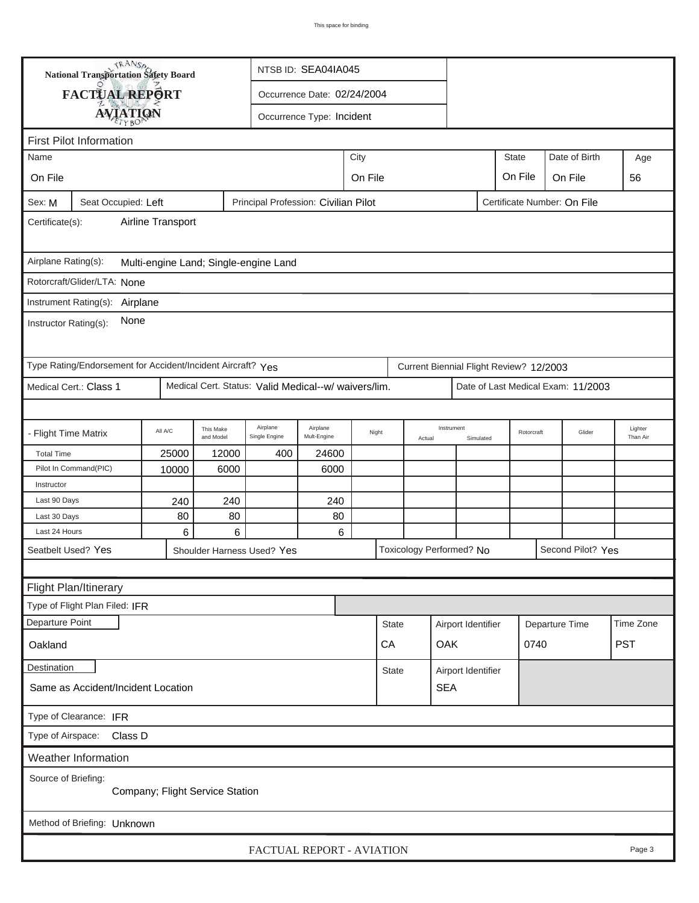| <b>National Transportation Safety Board</b><br>NTSB ID: SEA04IA045                                   |                                                             |         |                        |                                                      |                             |         |              |        |                          |                    |                                         |  |                                    |                     |
|------------------------------------------------------------------------------------------------------|-------------------------------------------------------------|---------|------------------------|------------------------------------------------------|-----------------------------|---------|--------------|--------|--------------------------|--------------------|-----------------------------------------|--|------------------------------------|---------------------|
|                                                                                                      | FACTUAL REPORT                                              |         |                        |                                                      | Occurrence Date: 02/24/2004 |         |              |        |                          |                    |                                         |  |                                    |                     |
|                                                                                                      | <b>AVIATION</b>                                             |         |                        |                                                      | Occurrence Type: Incident   |         |              |        |                          |                    |                                         |  |                                    |                     |
|                                                                                                      |                                                             |         |                        |                                                      |                             |         |              |        |                          |                    |                                         |  |                                    |                     |
| <b>First Pilot Information</b><br>City<br>State<br>Date of Birth<br>Name                             |                                                             |         |                        |                                                      |                             |         |              |        |                          |                    |                                         |  |                                    |                     |
|                                                                                                      |                                                             |         |                        |                                                      |                             |         |              |        |                          |                    |                                         |  |                                    | Age                 |
| On File                                                                                              |                                                             |         |                        |                                                      |                             | On File |              |        |                          |                    | On File                                 |  | On File                            | 56                  |
| Seat Occupied: Left<br>Principal Profession: Civilian Pilot<br>Certificate Number: On File<br>Sex: M |                                                             |         |                        |                                                      |                             |         |              |        |                          |                    |                                         |  |                                    |                     |
| Airline Transport<br>Certificate(s):                                                                 |                                                             |         |                        |                                                      |                             |         |              |        |                          |                    |                                         |  |                                    |                     |
| Airplane Rating(s):<br>Multi-engine Land; Single-engine Land                                         |                                                             |         |                        |                                                      |                             |         |              |        |                          |                    |                                         |  |                                    |                     |
| Rotorcraft/Glider/LTA: None                                                                          |                                                             |         |                        |                                                      |                             |         |              |        |                          |                    |                                         |  |                                    |                     |
|                                                                                                      | Instrument Rating(s): Airplane                              |         |                        |                                                      |                             |         |              |        |                          |                    |                                         |  |                                    |                     |
| None<br>Instructor Rating(s):                                                                        |                                                             |         |                        |                                                      |                             |         |              |        |                          |                    |                                         |  |                                    |                     |
|                                                                                                      | Type Rating/Endorsement for Accident/Incident Aircraft? Yes |         |                        |                                                      |                             |         |              |        |                          |                    | Current Biennial Flight Review? 12/2003 |  |                                    |                     |
|                                                                                                      | Medical Cert.: Class 1                                      |         |                        | Medical Cert. Status: Valid Medical--w/ waivers/lim. |                             |         |              |        |                          |                    |                                         |  | Date of Last Medical Exam: 11/2003 |                     |
|                                                                                                      |                                                             |         |                        |                                                      |                             |         |              |        |                          |                    |                                         |  |                                    |                     |
| - Flight Time Matrix                                                                                 |                                                             | All A/C | This Make<br>and Model | Airplane<br>Single Engine                            | Airplane<br>Mult-Engine     |         | Night        | Actual | Instrument<br>Simulated  |                    | Rotorcraft                              |  | Glider                             | Lighter<br>Than Air |
| <b>Total Time</b>                                                                                    |                                                             | 25000   | 12000                  | 400                                                  | 24600                       |         |              |        |                          |                    |                                         |  |                                    |                     |
|                                                                                                      | Pilot In Command(PIC)                                       | 10000   | 6000                   |                                                      | 6000                        |         |              |        |                          |                    |                                         |  |                                    |                     |
| Instructor                                                                                           |                                                             |         |                        |                                                      |                             |         |              |        |                          |                    |                                         |  |                                    |                     |
| Last 90 Days                                                                                         |                                                             | 240     | 240                    |                                                      | 240                         |         |              |        |                          |                    |                                         |  |                                    |                     |
| Last 30 Days                                                                                         |                                                             | 80      | 80                     |                                                      | 80                          |         |              |        |                          |                    |                                         |  |                                    |                     |
| Last 24 Hours                                                                                        |                                                             | 6       | 6                      |                                                      | 6                           |         |              |        |                          |                    |                                         |  |                                    |                     |
|                                                                                                      | Seatbelt Used? Yes                                          |         |                        | Shoulder Harness Used? Yes                           |                             |         |              |        | Toxicology Performed? No |                    |                                         |  | Second Pilot? Yes                  |                     |
|                                                                                                      |                                                             |         |                        |                                                      |                             |         |              |        |                          |                    |                                         |  |                                    |                     |
|                                                                                                      | Flight Plan/Itinerary                                       |         |                        |                                                      |                             |         |              |        |                          |                    |                                         |  |                                    |                     |
|                                                                                                      | Type of Flight Plan Filed: IFR                              |         |                        |                                                      |                             |         |              |        |                          |                    |                                         |  |                                    |                     |
| Departure Point                                                                                      |                                                             |         |                        |                                                      |                             |         | <b>State</b> |        | Airport Identifier       |                    | Departure Time                          |  | Time Zone                          |                     |
| Oakland                                                                                              |                                                             |         |                        |                                                      |                             |         | CA           |        | OAK                      | 0740               |                                         |  | <b>PST</b>                         |                     |
| Destination                                                                                          |                                                             |         |                        |                                                      |                             |         | <b>State</b> |        |                          | Airport Identifier |                                         |  |                                    |                     |
| Same as Accident/Incident Location                                                                   |                                                             |         |                        |                                                      |                             |         |              |        | <b>SEA</b>               |                    |                                         |  |                                    |                     |
| Type of Clearance: IFR                                                                               |                                                             |         |                        |                                                      |                             |         |              |        |                          |                    |                                         |  |                                    |                     |
| Type of Airspace: Class D                                                                            |                                                             |         |                        |                                                      |                             |         |              |        |                          |                    |                                         |  |                                    |                     |
|                                                                                                      | Weather Information                                         |         |                        |                                                      |                             |         |              |        |                          |                    |                                         |  |                                    |                     |
| Source of Briefing:<br>Company; Flight Service Station                                               |                                                             |         |                        |                                                      |                             |         |              |        |                          |                    |                                         |  |                                    |                     |
| Method of Briefing: Unknown                                                                          |                                                             |         |                        |                                                      |                             |         |              |        |                          |                    |                                         |  |                                    |                     |
| FACTUAL REPORT - AVIATION<br>Page 3                                                                  |                                                             |         |                        |                                                      |                             |         |              |        |                          |                    |                                         |  |                                    |                     |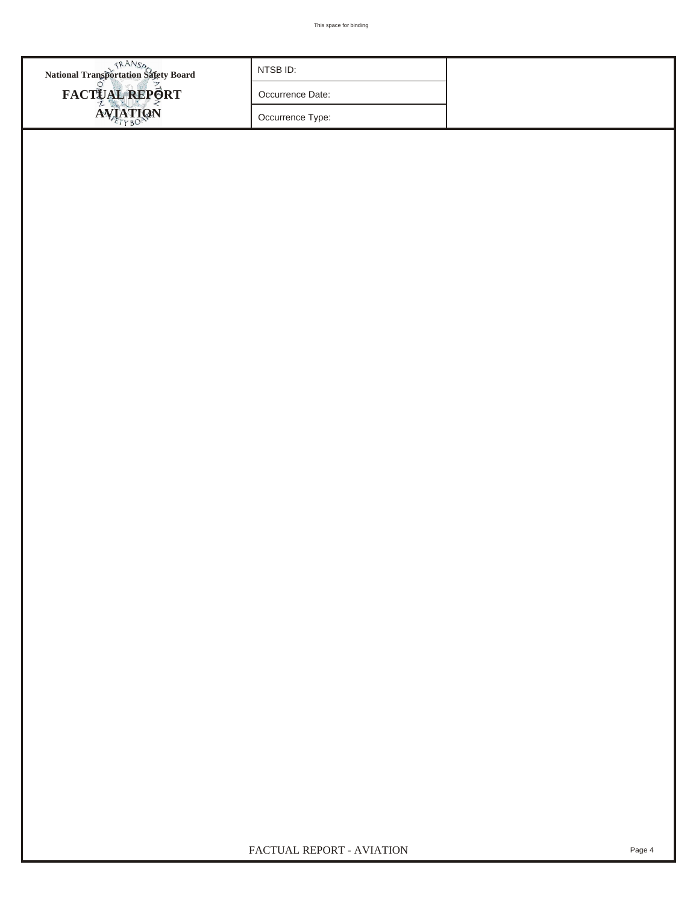| <b>National Transportation Safety Board</b> | NTSB ID: SEA04IA045                                                         |                     |                                    |                     |                             |  |                                                       |                              |       |     |  |  |
|---------------------------------------------|-----------------------------------------------------------------------------|---------------------|------------------------------------|---------------------|-----------------------------|--|-------------------------------------------------------|------------------------------|-------|-----|--|--|
| FACTUAL REPORT                              | Occurrence Date: 02/24/2004                                                 |                     |                                    |                     |                             |  |                                                       |                              |       |     |  |  |
| <b>AVIATION</b>                             |                                                                             |                     |                                    |                     |                             |  |                                                       |                              |       |     |  |  |
|                                             |                                                                             |                     | Occurrence Type: Incident          |                     |                             |  |                                                       |                              |       |     |  |  |
| WOF ID<br><b>Observation Time</b>           | Time Zone<br><b>WOF Elevation</b><br><b>WOF Distance From Accident Site</b> |                     |                                    |                     |                             |  |                                                       | Direction From Accident Site |       |     |  |  |
| 0956<br><b>SEA</b>                          |                                                                             | 433 Ft. MSL         |                                    |                     |                             |  | 2 NM                                                  | 340 Deg. Mag.                |       |     |  |  |
| Sky/Lowest Cloud Condition: Scattered       |                                                                             |                     |                                    |                     | 12000 Ft. AGL               |  |                                                       | Condition of Light:          |       |     |  |  |
| Lowest Ceiling: Broken                      |                                                                             |                     | 17000 Ft. AGL<br>Visibility:<br>10 |                     |                             |  |                                                       | Altimeter:                   | 29.62 | "Hg |  |  |
| $10^{\circ}$ C<br>Temperature:              | Dew Point:                                                                  | $4^{\circ}C$        |                                    | Wind Direction: 170 |                             |  |                                                       | Density Altitude:            |       | Ft. |  |  |
| Wind Speed: 4                               | Gusts:                                                                      |                     |                                    |                     |                             |  | Weather Condtions at Accident Site: Visual Conditions |                              |       |     |  |  |
| Visibility (RVR):<br>Ft.                    | Visibility (RVV)                                                            |                     | <b>SM</b>                          |                     | Intensity of Precipitation: |  |                                                       |                              |       |     |  |  |
| Restrictions to Visibility: None            |                                                                             |                     |                                    |                     |                             |  |                                                       |                              |       |     |  |  |
| None<br>Type of Precipitation:              |                                                                             |                     |                                    |                     |                             |  |                                                       |                              |       |     |  |  |
| Accident Information                        |                                                                             |                     |                                    |                     |                             |  |                                                       |                              |       |     |  |  |
| Aircraft Damage: None                       |                                                                             | Aircraft Fire: None |                                    |                     |                             |  |                                                       | Aircraft Explosion None      |       |     |  |  |
| Classification: U.S. Registered/U.S. Soil   |                                                                             |                     |                                    |                     |                             |  |                                                       |                              |       |     |  |  |
| - Injury Summary Matrix                     | Fatal                                                                       | Serious<br>Minor    |                                    | None                | <b>TOTAL</b>                |  |                                                       |                              |       |     |  |  |
| <b>First Pilot</b>                          |                                                                             |                     |                                    | 1                   | 1                           |  |                                                       |                              |       |     |  |  |
| Second Pilot                                |                                                                             |                     |                                    | 1                   |                             |  |                                                       |                              |       |     |  |  |
| <b>Student Pilot</b>                        |                                                                             |                     |                                    |                     |                             |  |                                                       |                              |       |     |  |  |
| Flight Instructor                           |                                                                             |                     |                                    |                     |                             |  |                                                       |                              |       |     |  |  |
| <b>Check Pilot</b>                          |                                                                             |                     |                                    |                     |                             |  |                                                       |                              |       |     |  |  |
| Flight Engineer                             |                                                                             |                     |                                    |                     |                             |  |                                                       |                              |       |     |  |  |
| Cabin Attendants                            |                                                                             |                     |                                    | $\overline{3}$      | 3                           |  |                                                       |                              |       |     |  |  |
| Other Crew                                  |                                                                             |                     |                                    |                     |                             |  |                                                       |                              |       |     |  |  |
| Passengers<br>- TOTAL ABOARD -              |                                                                             |                     |                                    | 89<br>94            | 89                          |  |                                                       |                              |       |     |  |  |
| Other Ground                                |                                                                             |                     |                                    |                     | 94                          |  |                                                       |                              |       |     |  |  |
| - GRAND TOTAL -                             |                                                                             |                     |                                    | 94                  | 94                          |  |                                                       |                              |       |     |  |  |
|                                             |                                                                             |                     |                                    |                     |                             |  |                                                       |                              |       |     |  |  |
| FACTUAL REPORT - AVIATION<br>Page 4         |                                                                             |                     |                                    |                     |                             |  |                                                       |                              |       |     |  |  |